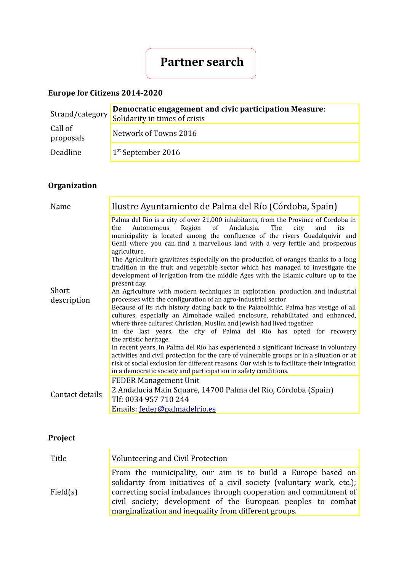# **Partner search**

### **Europe for Citizens 2014-2020**

|                      | Democratic engagement and civic participation Measure:<br>Strand/category Solidarity in times of crisis |
|----------------------|---------------------------------------------------------------------------------------------------------|
| Call of<br>proposals | Network of Towns 2016                                                                                   |
| Deadline             | $1st$ September 2016                                                                                    |

## **Organization**

| Name            | Ilustre Ayuntamiento de Palma del Río (Córdoba, Spain)                                                                                                                                                                                                                                                                                     |
|-----------------|--------------------------------------------------------------------------------------------------------------------------------------------------------------------------------------------------------------------------------------------------------------------------------------------------------------------------------------------|
|                 | Palma del Rio is a city of over 21,000 inhabitants, from the Province of Cordoba in<br>Autonomous Region of Andalusia.<br>The<br>the<br>city<br>and<br>its<br>municipality is located among the confluence of the rivers Guadalquivir and<br>Genil where you can find a marvellous land with a very fertile and prosperous<br>agriculture. |
|                 | The Agriculture gravitates especially on the production of oranges thanks to a long<br>tradition in the fruit and vegetable sector which has managed to investigate the<br>development of irrigation from the middle Ages with the Islamic culture up to the<br>present day.                                                               |
| Short           | An Agriculture with modern techniques in explotation, production and industrial                                                                                                                                                                                                                                                            |
| description     | processes with the configuration of an agro-industrial sector.                                                                                                                                                                                                                                                                             |
|                 | Because of its rich history dating back to the Palaeolithic, Palma has vestige of all<br>cultures, especially an Almohade walled enclosure, rehabilitated and enhanced,<br>where three cultures: Christian, Muslim and Jewish had lived together.                                                                                          |
|                 | In the last years, the city of Palma del Rio has opted for recovery<br>the artistic heritage.                                                                                                                                                                                                                                              |
|                 | In recent years, in Palma del Río has experienced a significant increase in voluntary                                                                                                                                                                                                                                                      |
|                 | activities and civil protection for the care of vulnerable groups or in a situation or at<br>risk of social exclusion for different reasons. Our wish is to facilitate their integration<br>in a democratic society and participation in safety conditions.                                                                                |
|                 | <b>FEDER Management Unit</b>                                                                                                                                                                                                                                                                                                               |
|                 | 2 Andalucía Main Square, 14700 Palma del Río, Córdoba (Spain)                                                                                                                                                                                                                                                                              |
| Contact details | Tlf: 0034 957 710 244                                                                                                                                                                                                                                                                                                                      |
|                 | Emails: feder@palmadelrio.es                                                                                                                                                                                                                                                                                                               |

### **Project**

| Title    | Volunteering and Civil Protection                                                                                                                                                                                                                                                                                                     |
|----------|---------------------------------------------------------------------------------------------------------------------------------------------------------------------------------------------------------------------------------------------------------------------------------------------------------------------------------------|
| Field(s) | From the municipality, our aim is to build a Europe based on<br>solidarity from initiatives of a civil society (voluntary work, etc.);<br>correcting social imbalances through cooperation and commitment of<br>civil society; development of the European peoples to combat<br>marginalization and inequality from different groups. |